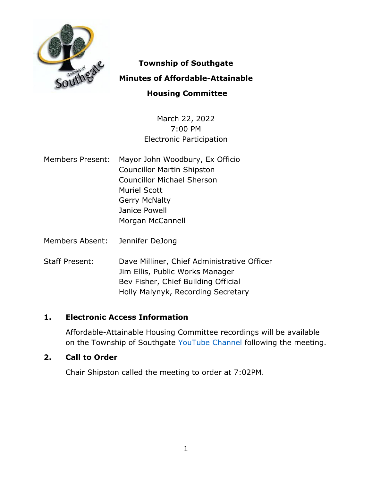

# **Township of Southgate**

## **Minutes of Affordable-Attainable**

## **Housing Committee**

March 22, 2022 7:00 PM Electronic Participation

- Members Present: Mayor John Woodbury, Ex Officio Councillor Martin Shipston Councillor Michael Sherson Muriel Scott Gerry McNalty Janice Powell Morgan McCannell
- Members Absent: Jennifer DeJong
- Staff Present: Dave Milliner, Chief Administrative Officer Jim Ellis, Public Works Manager Bev Fisher, Chief Building Official Holly Malynyk, Recording Secretary

## **1. Electronic Access Information**

Affordable-Attainable Housing Committee recordings will be available on the Township of Southgate [YouTube Channel](https://www.youtube.com/user/SouthgateTownship) following the meeting.

#### **2. Call to Order**

Chair Shipston called the meeting to order at 7:02PM.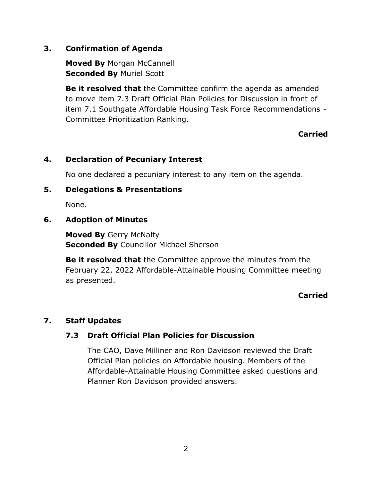## **3. Confirmation of Agenda**

**Moved By** Morgan McCannell **Seconded By** Muriel Scott

**Be it resolved that** the Committee confirm the agenda as amended to move item 7.3 Draft Official Plan Policies for Discussion in front of item 7.1 Southgate Affordable Housing Task Force Recommendations - Committee Prioritization Ranking.

## **Carried**

## **4. Declaration of Pecuniary Interest**

No one declared a pecuniary interest to any item on the agenda.

#### **5. Delegations & Presentations**

None.

## **6. Adoption of Minutes**

**Moved By** Gerry McNalty **Seconded By** Councillor Michael Sherson

**Be it resolved that** the Committee approve the minutes from the February 22, 2022 Affordable-Attainable Housing Committee meeting as presented.

## **Carried**

## **7. Staff Updates**

## **7.3 Draft Official Plan Policies for Discussion**

The CAO, Dave Milliner and Ron Davidson reviewed the Draft Official Plan policies on Affordable housing. Members of the Affordable-Attainable Housing Committee asked questions and Planner Ron Davidson provided answers.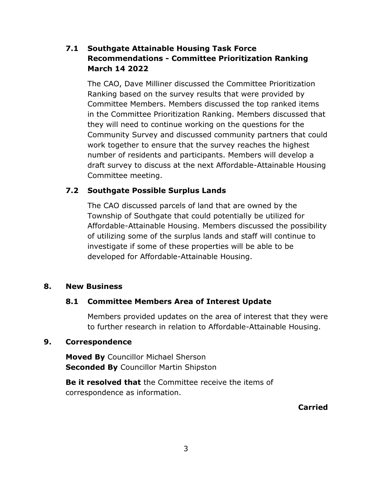## **7.1 Southgate Attainable Housing Task Force Recommendations - Committee Prioritization Ranking March 14 2022**

The CAO, Dave Milliner discussed the Committee Prioritization Ranking based on the survey results that were provided by Committee Members. Members discussed the top ranked items in the Committee Prioritization Ranking. Members discussed that they will need to continue working on the questions for the Community Survey and discussed community partners that could work together to ensure that the survey reaches the highest number of residents and participants. Members will develop a draft survey to discuss at the next Affordable-Attainable Housing Committee meeting.

## **7.2 Southgate Possible Surplus Lands**

The CAO discussed parcels of land that are owned by the Township of Southgate that could potentially be utilized for Affordable-Attainable Housing. Members discussed the possibility of utilizing some of the surplus lands and staff will continue to investigate if some of these properties will be able to be developed for Affordable-Attainable Housing.

## **8. New Business**

## **8.1 Committee Members Area of Interest Update**

Members provided updates on the area of interest that they were to further research in relation to Affordable-Attainable Housing.

#### **9. Correspondence**

**Moved By** Councillor Michael Sherson **Seconded By** Councillor Martin Shipston

**Be it resolved that** the Committee receive the items of correspondence as information.

**Carried**